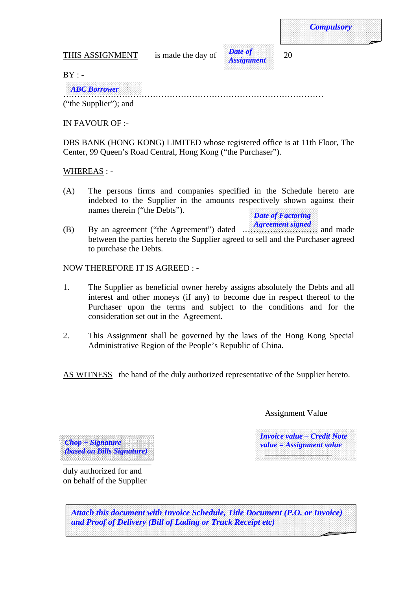THIS ASSIGNMENT is made the day of  $\frac{Dule}{20}$  20



*Compulsory* 

 $BY: -$ 

*ABC Borrower*  …………………………………………………………………………………

("the Supplier"); and

IN FAVOUR OF :-

DBS BANK (HONG KONG) LIMITED whose registered office is at 11th Floor, The Center, 99 Queen's Road Central, Hong Kong ("the Purchaser").

# WHEREAS : -

(A) The persons firms and companies specified in the Schedule hereto are indebted to the Supplier in the amounts respectively shown against their names therein ("the Debts").

*Date of Factoring* 

*Agreement signed*  (B) By an agreement ("the Agreement") dated ……………………… and made between the parties hereto the Supplier agreed to sell and the Purchaser agreed to purchase the Debts.

# NOW THEREFORE IT IS AGREED : -

- 1. The Supplier as beneficial owner hereby assigns absolutely the Debts and all interest and other moneys (if any) to become due in respect thereof to the Purchaser upon the terms and subject to the conditions and for the consideration set out in the Agreement.
- 2. This Assignment shall be governed by the laws of the Hong Kong Special Administrative Region of the People's Republic of China.

AS WITNESS the hand of the duly authorized representative of the Supplier hereto.

Assignment Value

*Invoice value – Credit Note value = Assignment value* 

*(based on Bills Signature)*  \_\_\_\_\_\_\_\_\_\_\_\_\_\_\_\_ *(based on Bills Signature) Chop + Signature*  \_\_\_\_\_\_\_\_\_\_\_\_\_\_\_\_\_\_\_\_\_

i<br>S

duly authorized for and on behalf of the Supplier

*Attach this document with Invoice Schedule, Title Document (P.O. or Invoice) and Proof of Delivery (Bill of Lading or Truck Receipt etc)*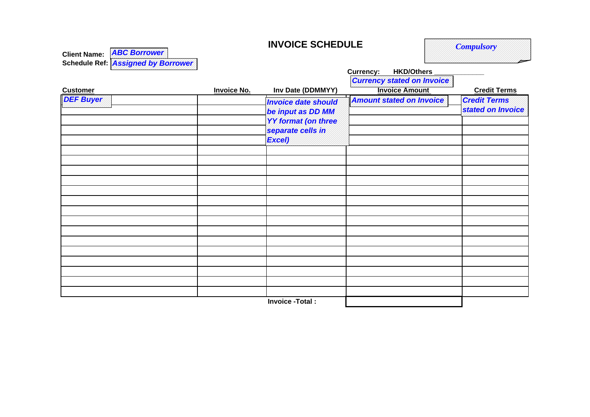# **INVOICE SCHEDULE**

*Compulsory*

| Client Name: <b>ABC Borrower</b>   |
|------------------------------------|
| Schedule Ref: Assigned by Borrower |

|                  | <b>Invoice No.</b> | Inv Date (DDMMYY)                                                                                            | <b>Currency:</b><br><b>HKD/Others</b>                      |                                          |
|------------------|--------------------|--------------------------------------------------------------------------------------------------------------|------------------------------------------------------------|------------------------------------------|
| <b>Customer</b>  |                    |                                                                                                              | <b>Currency stated on Invoice</b><br><b>Invoice Amount</b> | <b>Credit Terms</b>                      |
| <b>DEF Buyer</b> |                    | <b>Invoice date should</b><br>be input as DD MM<br><b>YY format (on three</b><br>separate cells in<br>Excel) | <b>Amount stated on Invoice</b>                            | <b>Credit Terms</b><br>stated on Invoice |
|                  |                    |                                                                                                              |                                                            |                                          |
|                  |                    |                                                                                                              |                                                            |                                          |
|                  |                    |                                                                                                              |                                                            |                                          |
|                  |                    |                                                                                                              |                                                            |                                          |
|                  |                    |                                                                                                              |                                                            |                                          |
|                  |                    |                                                                                                              |                                                            |                                          |
|                  |                    |                                                                                                              |                                                            |                                          |
|                  |                    |                                                                                                              |                                                            |                                          |
|                  |                    |                                                                                                              |                                                            |                                          |
|                  |                    | Invoice -Total:                                                                                              |                                                            |                                          |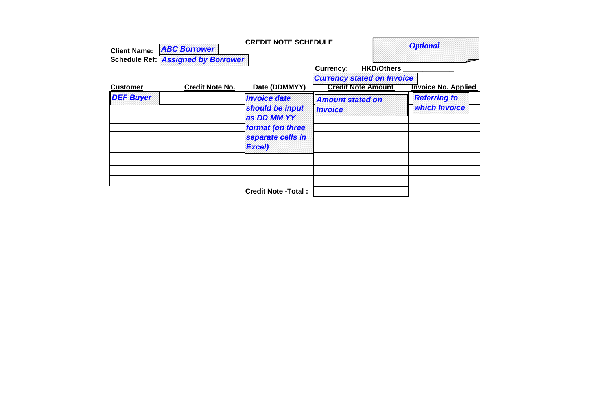| <b>Client Name:</b>                       | <b>CREDIT NOTE SCHEDULE</b><br><b>ABC Borrower</b><br><b>Schedule Ref: Assigned by Borrower</b> |                                                                                                          |                                                                                                         | <b>Optional</b>                      |  |
|-------------------------------------------|-------------------------------------------------------------------------------------------------|----------------------------------------------------------------------------------------------------------|---------------------------------------------------------------------------------------------------------|--------------------------------------|--|
| <b>Credit Note No.</b><br><b>Customer</b> |                                                                                                 | Date (DDMMYY)                                                                                            | <b>HKD/Others</b><br><b>Currency:</b><br><b>Currency stated on Invoice</b><br><b>Credit Note Amount</b> | <b>Invoice No. Applied</b>           |  |
| <b>DEF Buyer</b>                          |                                                                                                 | <b>Invoice date</b><br>should be input<br>as DD MM YY<br>format (on three<br>separate cells in<br>Excel) | <b>Amount stated on</b><br><b>Invoice</b>                                                               | <b>Referring to</b><br>which Invoice |  |
|                                           |                                                                                                 | <b>Credit Note - Total:</b>                                                                              |                                                                                                         |                                      |  |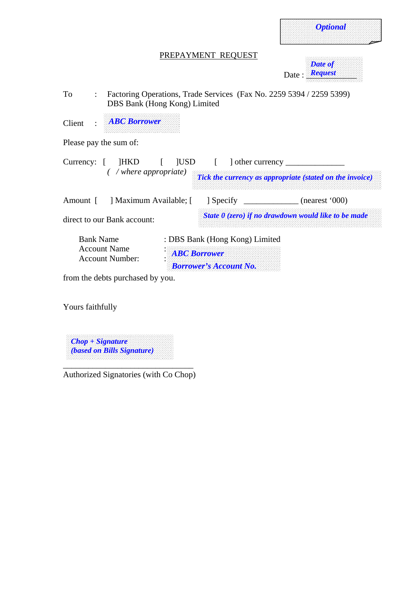| <b>Optional</b> | $\sim$ |
|-----------------|--------|
|-----------------|--------|

# PREPAYMENT REQUEST

| Date of<br>5000000000 |
|-----------------------|
|                       |
|                       |
|                       |
|                       |
|                       |
|                       |
|                       |
|                       |
|                       |
|                       |
|                       |
| Date Request          |
|                       |
|                       |

To : Factoring Operations, Trade Services (Fax No. 2259 5394 / 2259 5399) DBS Bank (Hong Kong) Limited

Client : *ABC Borrower* 

Please pay the sum of:

| HKD [ ]USD<br>Currency: $\lceil$<br>$\left($ /where appropriate) |  |                                                                                        | $\vert$ other currency $\vert$<br>Tick the currency as appropriate (stated on the invoice) |
|------------------------------------------------------------------|--|----------------------------------------------------------------------------------------|--------------------------------------------------------------------------------------------|
| ] Maximum Available; [<br>Amount [                               |  | $\sqrt{2}$ Specify                                                                     | (nearest '000)                                                                             |
| direct to our Bank account:                                      |  |                                                                                        | State $\theta$ (zero) if no drawdown would like to be made                                 |
| <b>Bank Name</b><br><b>Account Name</b><br>Account Number:       |  | : DBS Bank (Hong Kong) Limited<br><b>ABC Borrower</b><br><b>Borrower's Account No.</b> |                                                                                            |
| from the debts purchased by you.                                 |  |                                                                                        |                                                                                            |

Yours faithfully

*Chop + Signature (based on Bills Signature)* 

\_\_\_\_\_\_\_\_\_\_\_\_\_\_\_\_\_\_\_\_\_\_\_\_\_\_\_\_\_\_\_ Authorized Signatories (with Co Chop)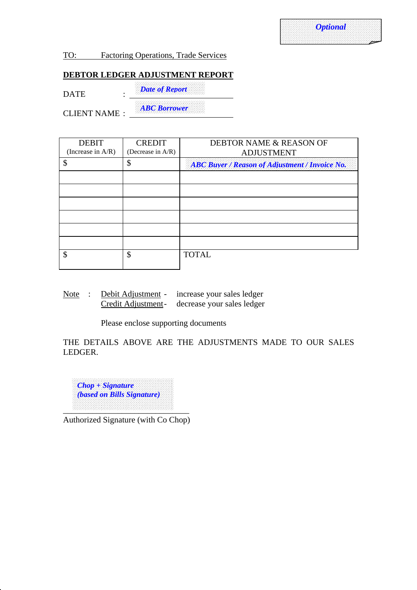TO: Factoring Operations, Trade Services

# **DEBTOR LEDGER ADJUSTMENT REPORT**

*Date of Report* DATE :

*ABC Borrower* CLIENT NAME :

| <b>CREDIT</b> | DEBTOR NAME & REASON OF                               |  |  |
|---------------|-------------------------------------------------------|--|--|
|               | <b>ADJUSTMENT</b>                                     |  |  |
| \$            | <b>ABC Buyer / Reason of Adjustment / Invoice No.</b> |  |  |
|               |                                                       |  |  |
|               |                                                       |  |  |
|               |                                                       |  |  |
|               |                                                       |  |  |
|               |                                                       |  |  |
|               |                                                       |  |  |
| \$            | <b>TOTAL</b>                                          |  |  |
|               | (Decrease in A/R)                                     |  |  |

Note : Debit Adjustment - increase your sales ledger Credit Adjustment - decrease your sales ledger

Please enclose supporting documents

THE DETAILS ABOVE ARE THE ADJUSTMENTS MADE TO OUR SALES LEDGER.



Authorized Signature (with Co Chop)